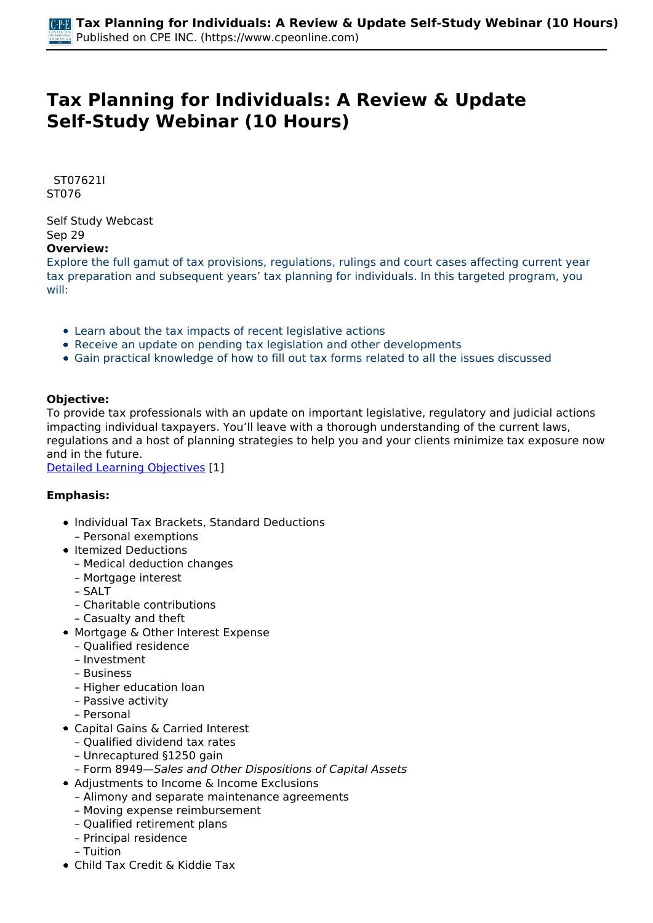# **Tax Planning for Individuals: A Review & Update Self-Study Webinar (10 Hours)**

 *ST07621I ST076* 

*Self Study Webcast Sep 29*  **Overview:** 

*Explore the full gamut of tax provisions, regulations, rulings and court cases affecting current year tax preparation and subsequent years' tax planning for individuals. In this targeted program, you will:*

- *Learn about the tax impacts of recent legislative actions*
- *Receive an update on pending tax legislation and other developments*
- *Gain practical knowledge of how to fill out tax forms related to all the issues discussed*

#### **Objective:**

*To provide tax professionals with an update on important legislative, regulatory and judicial actions impacting individual taxpayers. You'll leave with a thorough understanding of the current laws, regulations and a host of planning strategies to help you and your clients minimize tax exposure now and in the future.*

*[Detailed Learning Objectives](https://www.cpeonline.com/JavaScript:showObjectivesPopup();) [1]*

#### **Emphasis:**

- *Individual Tax Brackets, Standard Deductions – Personal exemptions*
- *Itemized Deductions*
	- *Medical deduction changes*
	- *Mortgage interest*
	- *SALT*
	- *Charitable contributions*
	- *Casualty and theft*
- *Mortgage & Other Interest Expense*
	- *Qualified residence*
	- *Investment*
	- *Business*
	- *Higher education loan*
	- *Passive activity*
	- *Personal*
- *Capital Gains & Carried Interest*
	- *Qualified dividend tax rates*
	- *Unrecaptured §1250 gain*
- *Form 8949—Sales and Other Dispositions of Capital Assets*
- *Adjustments to Income & Income Exclusions*
- *Alimony and separate maintenance agreements*
- *Moving expense reimbursement*
- *Qualified retirement plans*
- *Principal residence*
- *Tuition*
- *Child Tax Credit & Kiddie Tax*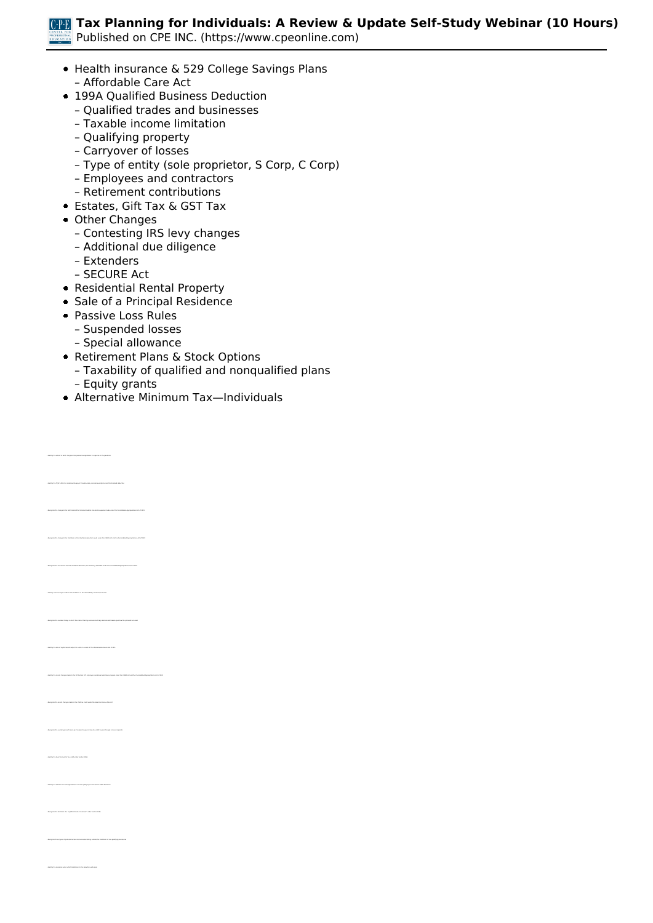*Published on CPE INC. (https://www.cpeonline.com)*

- *Health insurance & 529 College Savings Plans – Affordable Care Act*
	-
- *199A Qualified Business Deduction*
	- *Qualified trades and businesses*
	- *Taxable income limitation*
	- *Qualifying property*
	- *Carryover of losses*
	- *Type of entity (sole proprietor, S Corp, C Corp)*
	- *Employees and contractors*
	- *Retirement contributions*
- *Estates, Gift Tax & GST Tax*
- *Other Changes*
	- *Contesting IRS levy changes*
	- *Additional due diligence*
	- *Extenders*
	- *SECURE Act*
- *Residential Rental Property*
- **Sale of a Principal Residence**
- *Passive Loss Rules*
	- *Suspended losses*
	- *Special allowance*
- *Retirement Plans & Stock Options*
	- *Taxability of qualified and nonqualified plans*
	- *Equity grants*

*• Identify the TCJA's effect on individual taxpayer's tax brackets, personal exemptions and the standard deduction* 

*• Recognize the new above-the-line charitable deduction (for 2021 only) allowable under the Consolidated Appropriations Act of 2021*

*• Identify the sale of capital assets subject to a rate in excess of the otherwise maximum rate of 20%*

*• Recognize the overall approach taken by Congress to give income tax relief to pass-through income recipients* 

*• Recognize the definition of a "qualified trade or business" under Section 199A*

*Alternative Minimum Tax—Individuals*